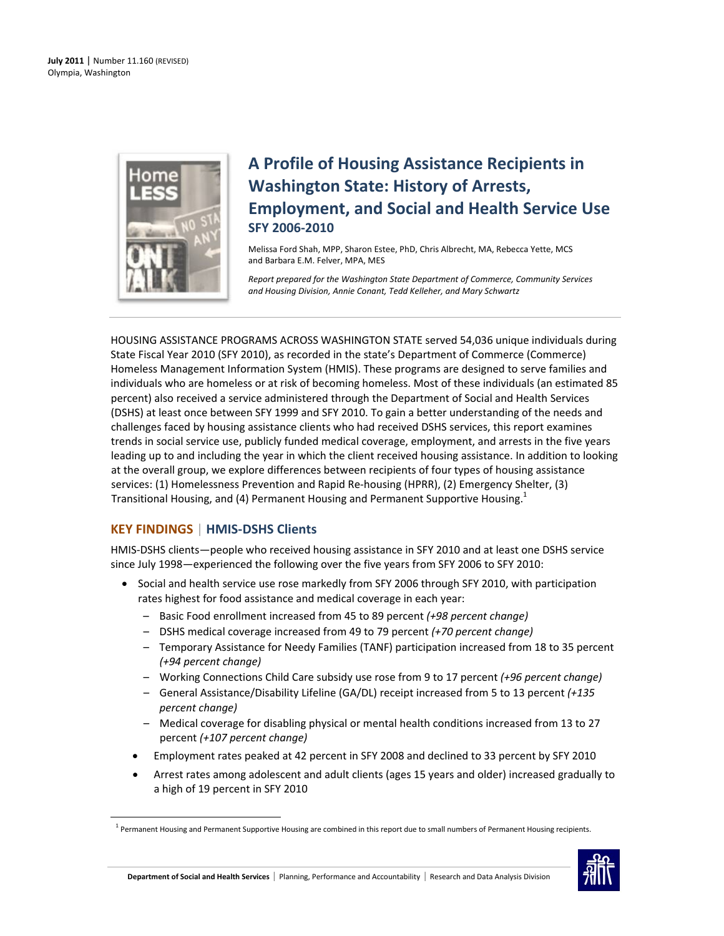

# **A Profile of Housing Assistance Recipients in Washington State: History of Arrests, Employment, and Social and Health Service Use SFY 2006‐2010**

Melissa Ford Shah, MPP, Sharon Estee, PhD, Chris Albrecht, MA, Rebecca Yette, MCS and Barbara E.M. Felver, MPA, MES

*Report prepared for the Washington State Department of Commerce, Community Services and Housing Division, Annie Conant, Tedd Kelleher, and Mary Schwartz*

HOUSING ASSISTANCE PROGRAMS ACROSS WASHINGTON STATE served 54,036 unique individuals during State Fiscal Year 2010 (SFY 2010), as recorded in the state's Department of Commerce (Commerce) Homeless Management Information System (HMIS). These programs are designed to serve families and individuals who are homeless or at risk of becoming homeless. Most of these individuals (an estimated 85 percent) also received a service administered through the Department of Social and Health Services (DSHS) at least once between SFY 1999 and SFY 2010. To gain a better understanding of the needs and challenges faced by housing assistance clients who had received DSHS services, this report examines trends in social service use, publicly funded medical coverage, employment, and arrests in the five years leading up to and including the year in which the client received housing assistance. In addition to looking at the overall group, we explore differences between recipients of four types of housing assistance services: (1) Homelessness Prevention and Rapid Re‐housing (HPRR), (2) Emergency Shelter, (3) Transitional Housing, and (4) Permanent Housing and Permanent Supportive Housing.<sup>1</sup>

# **KEY FINDINGS** | **HMIS‐DSHS Clients**

<span id="page-0-0"></span>

HMIS‐DSHS clients—people who received housing assistance in SFY 2010 and at least one DSHS service since July 1998—experienced the following over the five years from SFY 2006 to SFY 2010:

- Social and health service use rose markedly from SFY 2006 through SFY 2010, with participation rates highest for food assistance and medical coverage in each year:
	- Basic Food enrollment increased from 45 to 89 percent *(+98 percent change)*
	- DSHS medical coverage increased from 49 to 79 percent *(+70 percent change)*
	- Temporary Assistance for Needy Families (TANF) participation increased from 18 to 35 percent *(+94 percent change)*
	- Working Connections Child Care subsidy use rose from 9 to 17 percent *(+96 percent change)*
	- General Assistance/Disability Lifeline (GA/DL) receipt increased from 5 to 13 percent *(+135 percent change)*
	- Medical coverage for disabling physical or mental health conditions increased from 13 to 27 percent *(+107 percent change)*
	- Employment rates peaked at 42 percent in SFY 2008 and declined to 33 percent by SFY 2010
	- Arrest rates among adolescent and adult clients (ages 15 years and older) increased gradually to a high of 19 percent in SFY 2010

 $1$  Permanent Housing and Permanent Supportive Housing are combined in this report due to small numbers of Permanent Housing recipients.

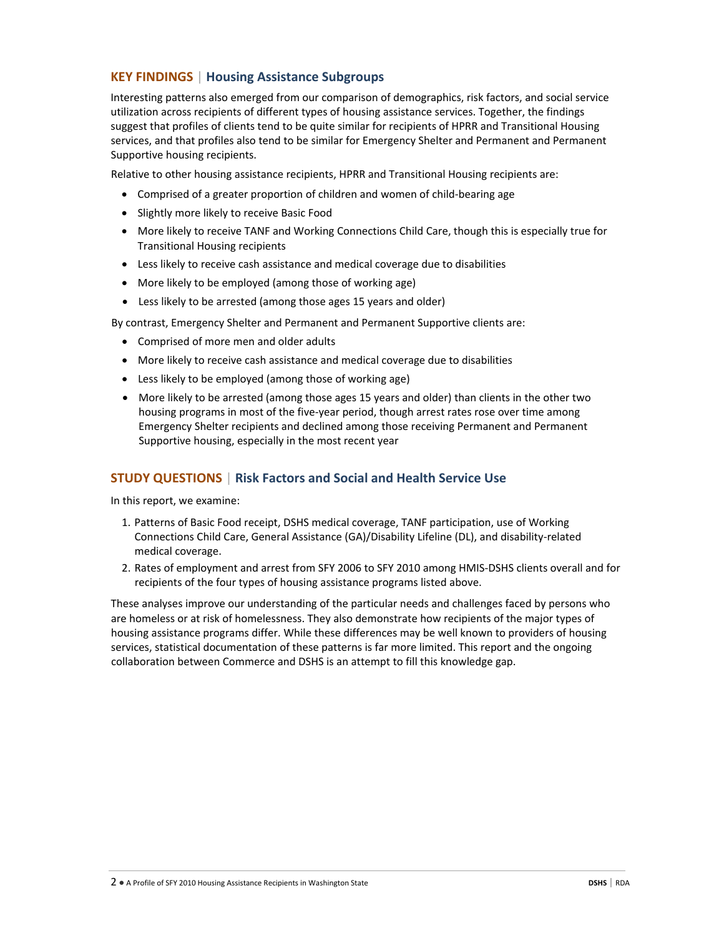## **KEY FINDINGS** | **Housing Assistance Subgroups**

Interesting patterns also emerged from our comparison of demographics, risk factors, and social service utilization across recipients of different types of housing assistance services. Together, the findings suggest that profiles of clients tend to be quite similar for recipients of HPRR and Transitional Housing services, and that profiles also tend to be similar for Emergency Shelter and Permanent and Permanent Supportive housing recipients.

Relative to other housing assistance recipients, HPRR and Transitional Housing recipients are:

- Comprised of a greater proportion of children and women of child‐bearing age
- Slightly more likely to receive Basic Food
- More likely to receive TANF and Working Connections Child Care, though this is especially true for Transitional Housing recipients
- Less likely to receive cash assistance and medical coverage due to disabilities
- More likely to be employed (among those of working age)
- Less likely to be arrested (among those ages 15 years and older)

By contrast, Emergency Shelter and Permanent and Permanent Supportive clients are:

- Comprised of more men and older adults
- More likely to receive cash assistance and medical coverage due to disabilities
- Less likely to be employed (among those of working age)
- More likely to be arrested (among those ages 15 years and older) than clients in the other two housing programs in most of the five‐year period, though arrest rates rose over time among Emergency Shelter recipients and declined among those receiving Permanent and Permanent Supportive housing, especially in the most recent year

#### **STUDY QUESTIONS** | **Risk Factors and Social and Health Service Use**

In this report, we examine:

- 1. Patterns of Basic Food receipt, DSHS medical coverage, TANF participation, use of Working Connections Child Care, General Assistance (GA)/Disability Lifeline (DL), and disability‐related medical coverage.
- 2. Rates of employment and arrest from SFY 2006 to SFY 2010 among HMIS‐DSHS clients overall and for recipients of the four types of housing assistance programs listed above.

These analyses improve our understanding of the particular needs and challenges faced by persons who are homeless or at risk of homelessness. They also demonstrate how recipients of the major types of housing assistance programs differ. While these differences may be well known to providers of housing services, statistical documentation of these patterns is far more limited. This report and the ongoing collaboration between Commerce and DSHS is an attempt to fill this knowledge gap.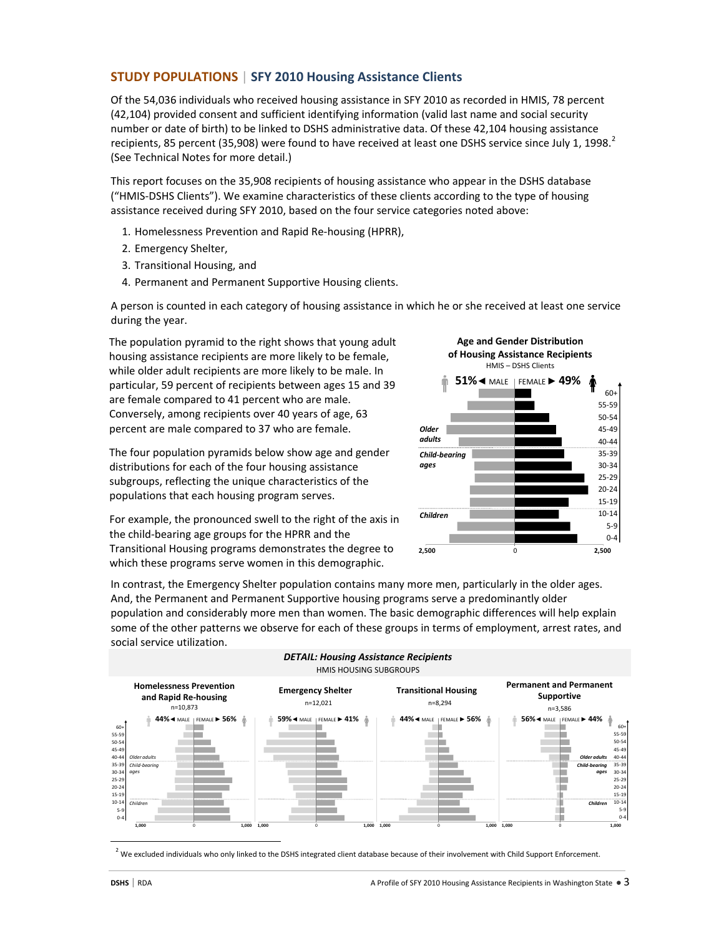### **STUDY POPULATIONS** | **SFY 2010 Housing Assistance Clients**

Of the 54,036 individuals who received housing assistance in SFY 2010 as recorded in HMIS, 78 percent (42,104) provided consent and sufficient identifying information (valid last name and social security number or date of birth) to be linked to DSHS administrative data. Of these 42,104 housing assistance recipients, 85 percent (35,908) were found to have received at least one DSHS service since July 1, 1998.<sup>[2](#page-2-0)</sup> (See Technical Notes for more detail.)

This report focuses on the 35,908 recipients of housing assistance who appear in the DSHS database ("HMIS‐DSHS Clients"). We examine characteristics of these clients according to the type of housing assistance received during SFY 2010, based on the four service categories noted above:

- 1. Homelessness Prevention and Rapid Re‐housing (HPRR),
- 2. Emergency Shelter,
- 3. Transitional Housing, and
- 4. Permanent and Permanent Supportive Housing clients.

A person is counted in each category of housing assistance in which he or she received at least one service during the year.

The population pyramid to the right shows that young adult housing assistance recipients are more likely to be female, while older adult recipients are more likely to be male. In particular, 59 percent of recipients between ages 15 and 39 are female compared to 41 percent who are male. Conversely, among recipients over 40 years of age, 63 percent are male compared to 37 who are female.

The four population pyramids below show age and gender distributions for each of the four housing assistance subgroups, reflecting the unique characteristics of the populations that each housing program serves.

For example, the pronounced swell to the right of the axis in the child‐bearing age groups for the HPRR and the Transitional Housing programs demonstrates the degree to which these programs serve women in this demographic.



In contrast, the Emergency Shelter population contains many more men, particularly in the older ages. And, the Permanent and Permanent Supportive housing programs serve a predominantly older population and considerably more men than women. The basic demographic differences will help explain some of the other patterns we observe for each of these groups in terms of employment, arrest rates, and social service utilization.



 $^2$  We excluded individuals who only linked to the DSHS integrated client database because of their involvement with Child Support Enforcement.

<span id="page-2-0"></span>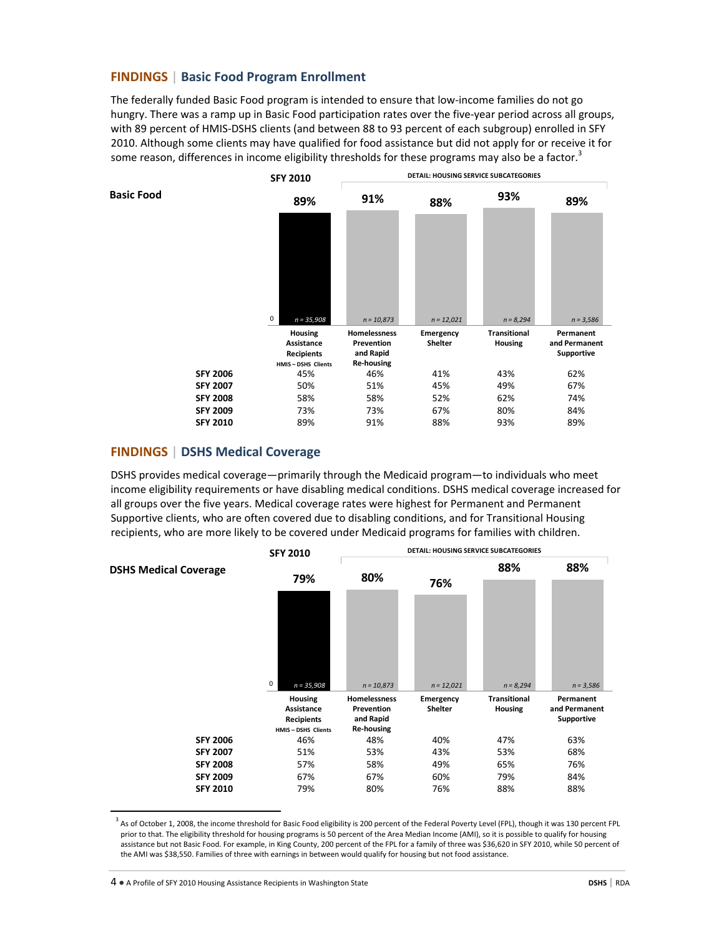#### **FINDINGS** | **Basic Food Program Enrollment**

The federally funded Basic Food program is intended to ensure that low-income families do not go hungry. There was a ramp up in Basic Food participation rates over the five-year period across all groups, with 89 percent of HMIS‐DSHS clients (and between 88 to 93 percent of each subgroup) enrolled in SFY 2010. Although some clients may have qualified for food assistance but did not apply for or receive it for some reason, differences in income eligibility thresholds for these programs may also be a factor.<sup>[3](#page-3-0)</sup>



### **FINDINGS** | **DSHS Medical Coverage**

DSHS provides medical coverage—primarily through the Medicaid program—to individuals who meet income eligibility requirements or have disabling medical conditions. DSHS medical coverage increased for all groups over the five years. Medical coverage rates were highest for Permanent and Permanent Supportive clients, who are often covered due to disabling conditions, and for Transitional Housing recipients, who are more likely to be covered under Medicaid programs for families with children.



<span id="page-3-0"></span><sup>&</sup>lt;sup>3</sup> As of October 1, 2008, the income threshold for Basic Food eligibility is 200 percent of the Federal Poverty Level (FPL), though it was 130 percent FPL prior to that. The eligibility threshold for housing programs is 50 percent of the Area Median Income (AMI), so it is possible to qualify for housing assistance but not Basic Food. For example, in King County, 200 percent of the FPL for a family of three was \$36,620 in SFY 2010, while 50 percent of the AMI was \$38,550. Families of three with earnings in between would qualify for housing but not food assistance.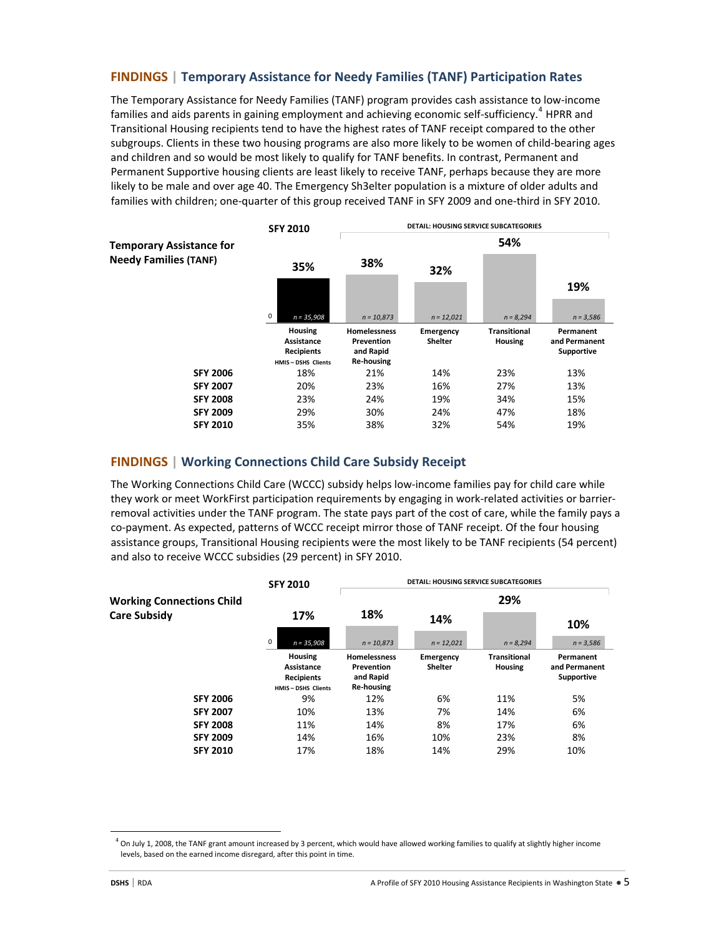### **FINDINGS | Temporary Assistance for Needy Families (TANF) Participation Rates**

The Temporary Assistance for Needy Families (TANF) program provides cash assistance to low‐income families and aids parents in gaining employment and achieving economic self-sufficiency.<sup>[4](#page-4-0)</sup> HPRR and Transitional Housing recipients tend to have the highest rates of TANF receipt compared to the other subgroups. Clients in these two housing programs are also more likely to be women of child‐bearing ages and children and so would be most likely to qualify for TANF benefits. In contrast, Permanent and Permanent Supportive housing clients are least likely to receive TANF, perhaps because they are more likely to be male and over age 40. The Emergency Sh3elter population is a mixture of older adults and families with children; one-quarter of this group received TANF in SFY 2009 and one-third in SFY 2010.



## **FINDINGS | Working Connections Child Care Subsidy Receipt**

The Working Connections Child Care (WCCC) subsidy helps low-income families pay for child care while they work or meet WorkFirst participation requirements by engaging in work‐related activities or barrier‐ removal activities under the TANF program. The state pays part of the cost of care, while the family pays a co-payment. As expected, patterns of WCCC receipt mirror those of TANF receipt. Of the four housing assistance groups, Transitional Housing recipients were the most likely to be TANF recipients (54 percent) and also to receive WCCC subsidies (29 percent) in SFY 2010.

|                                  | <b>SFY 2010</b>                                                               | <b>DETAIL: HOUSING SERVICE SUBCATEGORIES</b>                        |                             |                                       |                                          |  |
|----------------------------------|-------------------------------------------------------------------------------|---------------------------------------------------------------------|-----------------------------|---------------------------------------|------------------------------------------|--|
| <b>Working Connections Child</b> | 17%                                                                           | 18%                                                                 | 29%                         |                                       |                                          |  |
| <b>Care Subsidy</b>              |                                                                               |                                                                     | 14%                         |                                       | 10%                                      |  |
|                                  | 0<br>$n = 35,908$                                                             | $n = 10,873$                                                        | $n = 12,021$                | $n = 8,294$                           | $n = 3,586$                              |  |
|                                  | <b>Housing</b><br>Assistance<br><b>Recipients</b><br><b>HMIS-DSHS Clients</b> | <b>Homelessness</b><br>Prevention<br>and Rapid<br><b>Re-housing</b> | Emergency<br><b>Shelter</b> | <b>Transitional</b><br><b>Housing</b> | Permanent<br>and Permanent<br>Supportive |  |
| <b>SFY 2006</b>                  | 9%                                                                            | 12%                                                                 | 6%                          | 11%                                   | 5%                                       |  |
| <b>SFY 2007</b>                  | 10%                                                                           | 13%                                                                 | 7%                          | 14%                                   | 6%                                       |  |
| <b>SFY 2008</b>                  | 11%                                                                           | 14%                                                                 | 8%                          | 17%                                   | 6%                                       |  |
| <b>SFY 2009</b>                  | 14%                                                                           | 16%                                                                 | 10%                         | 23%                                   | 8%                                       |  |
| <b>SFY 2010</b>                  | 17%                                                                           | 18%                                                                 | 14%                         | 29%                                   | 10%                                      |  |

<span id="page-4-0"></span>

 $^4$  On July 1, 2008, the TANF grant amount increased by 3 percent, which would have allowed working families to qualify at slightly higher income levels, based on the earned income disregard, after this point in time.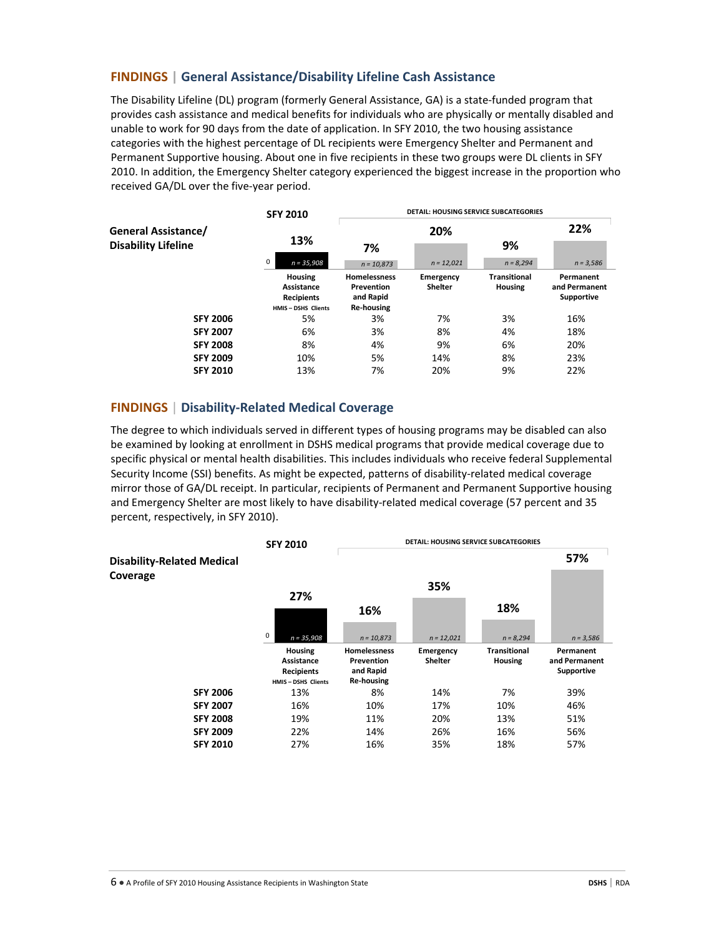### **FINDINGS | General Assistance/Disability Lifeline Cash Assistance**

The Disability Lifeline (DL) program (formerly General Assistance, GA) is a state‐funded program that provides cash assistance and medical benefits for individuals who are physically or mentally disabled and unable to work for 90 days from the date of application. In SFY 2010, the two housing assistance categories with the highest percentage of DL recipients were Emergency Shelter and Permanent and Permanent Supportive housing. About one in five recipients in these two groups were DL clients in SFY 2010. In addition, the Emergency Shelter category experienced the biggest increase in the proportion who received GA/DL over the five‐year period.

| <b>General Assistance/</b><br><b>Disability Lifeline</b> | <b>SFY 2010</b><br>13%                                                 | <b>DETAIL: HOUSING SERVICE SUBCATEGORIES</b>                        |                             |                                       |                                                 |  |
|----------------------------------------------------------|------------------------------------------------------------------------|---------------------------------------------------------------------|-----------------------------|---------------------------------------|-------------------------------------------------|--|
|                                                          |                                                                        | 20%                                                                 |                             |                                       | 22%                                             |  |
|                                                          |                                                                        | 7%                                                                  |                             | 9%                                    |                                                 |  |
|                                                          | 0<br>$n = 35,908$                                                      | $n = 10,873$                                                        | $n = 12,021$                | $n = 8,294$                           | $n = 3,586$                                     |  |
|                                                          | <b>Housing</b><br>Assistance<br><b>Recipients</b><br>HMIS-DSHS Clients | <b>Homelessness</b><br>Prevention<br>and Rapid<br><b>Re-housing</b> | Emergency<br><b>Shelter</b> | <b>Transitional</b><br><b>Housing</b> | Permanent<br>and Permanent<br><b>Supportive</b> |  |
| <b>SFY 2006</b>                                          | 5%                                                                     | 3%                                                                  | 7%                          | 3%                                    | 16%                                             |  |
| <b>SFY 2007</b>                                          | 6%                                                                     | 3%                                                                  | 8%                          | 4%                                    | 18%                                             |  |
| <b>SFY 2008</b>                                          | 8%                                                                     | 4%                                                                  | 9%                          | 6%                                    | 20%                                             |  |
| <b>SFY 2009</b>                                          | 10%                                                                    | 5%                                                                  | 14%                         | 8%                                    | 23%                                             |  |
| <b>SFY 2010</b>                                          | 13%                                                                    | 7%                                                                  | 20%                         | 9%                                    | 22%                                             |  |

#### **FINDINGS** | **Disability‐Related Medical Coverage**

The degree to which individuals served in different types of housing programs may be disabled can also be examined by looking at enrollment in DSHS medical programs that provide medical coverage due to specific physical or mental health disabilities. This includes individuals who receive federal Supplemental Security Income (SSI) benefits. As might be expected, patterns of disability-related medical coverage mirror those of GA/DL receipt. In particular, recipients of Permanent and Permanent Supportive housing and Emergency Shelter are most likely to have disability‐related medical coverage (57 percent and 35 percent, respectively, in SFY 2010).

|                                               | <b>SFY 2010</b>                                                               | <b>DETAIL: HOUSING SERVICE SUBCATEGORIES</b>                        |                             |                                       |                                                 |
|-----------------------------------------------|-------------------------------------------------------------------------------|---------------------------------------------------------------------|-----------------------------|---------------------------------------|-------------------------------------------------|
| <b>Disability-Related Medical</b><br>Coverage | 27%                                                                           |                                                                     |                             |                                       | 57%                                             |
|                                               |                                                                               |                                                                     |                             |                                       |                                                 |
|                                               |                                                                               | 16%                                                                 |                             | 18%                                   |                                                 |
|                                               | 0<br>$n = 35,908$                                                             | $n = 10,873$                                                        | $n = 12,021$                | $n = 8,294$                           | $n = 3,586$                                     |
|                                               | <b>Housing</b><br>Assistance<br><b>Recipients</b><br><b>HMIS-DSHS Clients</b> | <b>Homelessness</b><br>Prevention<br>and Rapid<br><b>Re-housing</b> | Emergency<br><b>Shelter</b> | <b>Transitional</b><br><b>Housing</b> | Permanent<br>and Permanent<br><b>Supportive</b> |
| <b>SFY 2006</b>                               | 13%                                                                           | 8%                                                                  | 14%                         | 7%                                    | 39%                                             |
| <b>SFY 2007</b>                               | 16%                                                                           | 10%                                                                 | 17%                         | 10%                                   | 46%                                             |
| <b>SFY 2008</b>                               | 19%                                                                           | 11%                                                                 | 20%                         | 13%                                   | 51%                                             |
| <b>SFY 2009</b>                               | 22%                                                                           | 14%                                                                 | 26%                         | 16%                                   | 56%                                             |
| <b>SFY 2010</b>                               | 27%                                                                           | 16%                                                                 | 35%                         | 18%                                   | 57%                                             |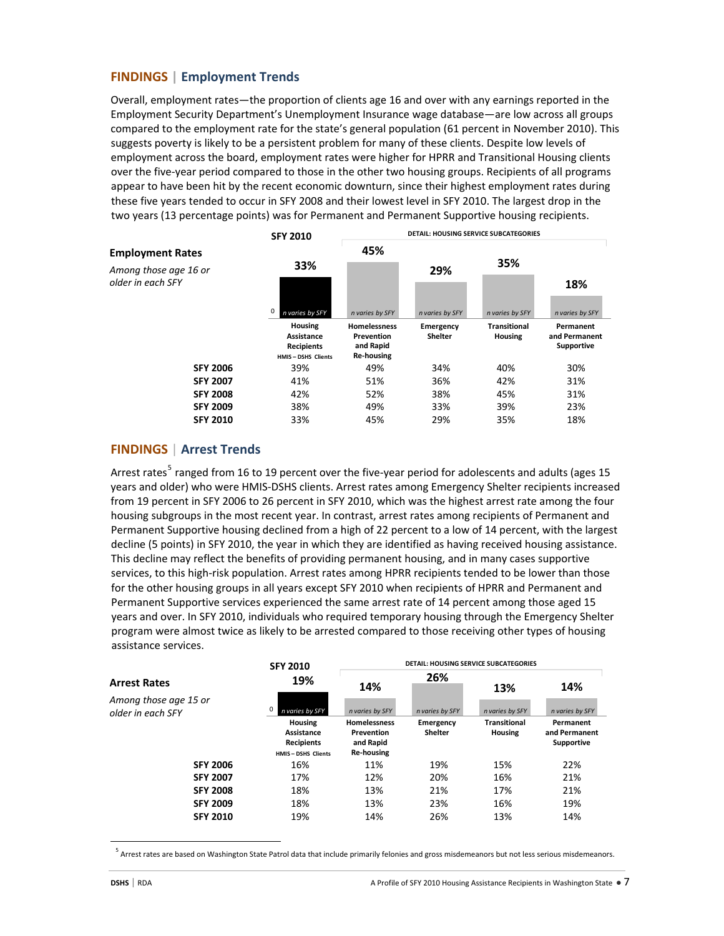# **FINDINGS | Employment Trends**

Overall, employment rates—the proportion of clients age 16 and over with any earnings reported in the Employment Security Department's Unemployment Insurance wage database—are low across all groups compared to the employment rate for the state's general population (61 percent in November 2010). This suggests poverty is likely to be a persistent problem for many of these clients. Despite low levels of employment across the board, employment rates were higher for HPRR and Transitional Housing clients over the five‐year period compared to those in the other two housing groups. Recipients of all programs appear to have been hit by the recent economic downturn, since their highest employment rates during these five years tended to occur in SFY 2008 and their lowest level in SFY 2010. The largest drop in the two years (13 percentage points) was for Permanent and Permanent Supportive housing recipients.



### **FINDINGS** | **Arrest Trends**

Arrest rates<sup>[5](#page-6-0)</sup> ranged from 16 to 19 percent over the five-year period for adolescents and adults (ages 15 years and older) who were HMIS‐DSHS clients. Arrest rates among Emergency Shelter recipients increased from 19 percent in SFY 2006 to 26 percent in SFY 2010, which was the highest arrest rate among the four housing subgroups in the most recent year. In contrast, arrest rates among recipients of Permanent and Permanent Supportive housing declined from a high of 22 percent to a low of 14 percent, with the largest decline (5 points) in SFY 2010, the year in which they are identified as having received housing assistance. This decline may reflect the benefits of providing permanent housing, and in many cases supportive services, to this high‐risk population. Arrest rates among HPRR recipients tended to be lower than those for the other housing groups in all years except SFY 2010 when recipients of HPRR and Permanent and Permanent Supportive services experienced the same arrest rate of 14 percent among those aged 15 years and over. In SFY 2010, individuals who required temporary housing through the Emergency Shelter program were almost twice as likely to be arrested compared to those receiving other types of housing assistance services.

|                                                                   | <b>SFY 2010</b><br>19%<br>n varies by SFY | <b>DETAIL: HOUSING SERVICE SUBCATEGORIES</b> |                        |                        |                        |                                                                               |
|-------------------------------------------------------------------|-------------------------------------------|----------------------------------------------|------------------------|------------------------|------------------------|-------------------------------------------------------------------------------|
| <b>Arrest Rates</b><br>Among those age 15 or<br>older in each SFY |                                           | 14%<br>n varies by SFY                       | 26%<br>n varies by SFY | 13%<br>n varies by SFY | 14%<br>n varies by SFY |                                                                               |
|                                                                   |                                           |                                              |                        |                        |                        | <b>Housing</b><br>Assistance<br><b>Recipients</b><br><b>HMIS-DSHS Clients</b> |
|                                                                   | <b>SFY 2006</b>                           | 16%                                          | 11%                    | 19%                    | 15%                    | 22%                                                                           |
| <b>SFY 2007</b>                                                   | 17%                                       | 12%                                          | 20%                    | 16%                    | 21%                    |                                                                               |
| <b>SFY 2008</b>                                                   | 18%                                       | 13%                                          | 21%                    | 17%                    | 21%                    |                                                                               |
| <b>SFY 2009</b>                                                   | 18%                                       | 13%                                          | 23%                    | 16%                    | 19%                    |                                                                               |
| <b>SFY 2010</b>                                                   | 19%                                       | 14%                                          | 26%                    | 13%                    | 14%                    |                                                                               |

<sup>5</sup> Arrest rates are based on Washington State Patrol data that include primarily felonies and gross misdemeanors but not less serious misdemeanors.

<span id="page-6-0"></span>